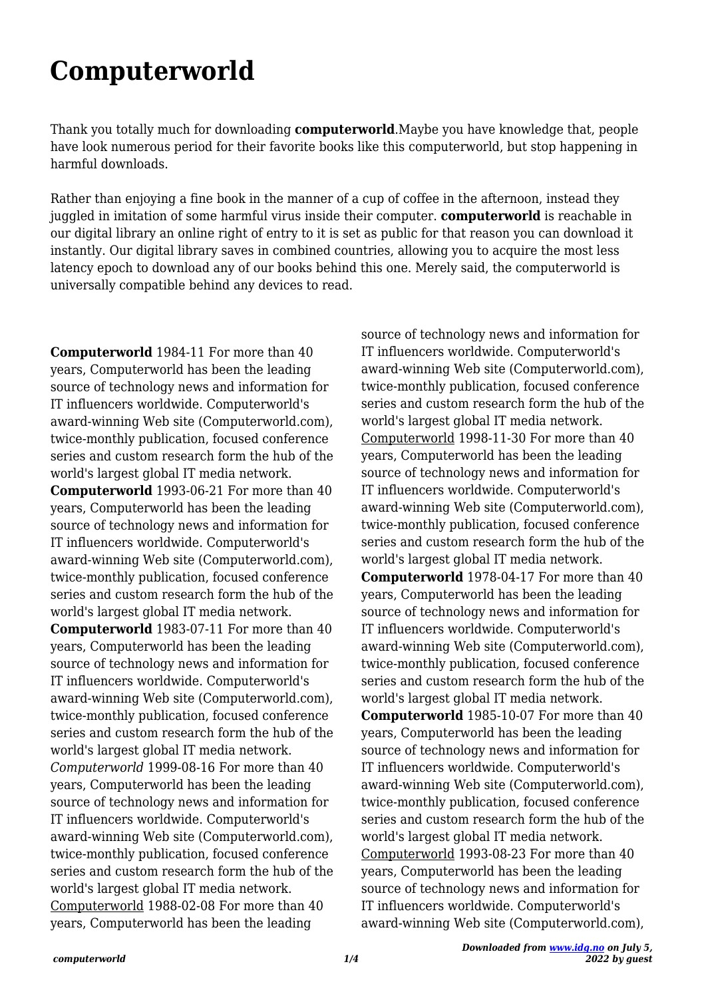## **Computerworld**

Thank you totally much for downloading **computerworld**.Maybe you have knowledge that, people have look numerous period for their favorite books like this computerworld, but stop happening in harmful downloads.

Rather than enjoying a fine book in the manner of a cup of coffee in the afternoon, instead they juggled in imitation of some harmful virus inside their computer. **computerworld** is reachable in our digital library an online right of entry to it is set as public for that reason you can download it instantly. Our digital library saves in combined countries, allowing you to acquire the most less latency epoch to download any of our books behind this one. Merely said, the computerworld is universally compatible behind any devices to read.

**Computerworld** 1984-11 For more than 40 years, Computerworld has been the leading source of technology news and information for IT influencers worldwide. Computerworld's award-winning Web site (Computerworld.com), twice-monthly publication, focused conference series and custom research form the hub of the world's largest global IT media network. **Computerworld** 1993-06-21 For more than 40 years, Computerworld has been the leading source of technology news and information for IT influencers worldwide. Computerworld's award-winning Web site (Computerworld.com), twice-monthly publication, focused conference series and custom research form the hub of the world's largest global IT media network. **Computerworld** 1983-07-11 For more than 40 years, Computerworld has been the leading source of technology news and information for IT influencers worldwide. Computerworld's award-winning Web site (Computerworld.com), twice-monthly publication, focused conference series and custom research form the hub of the world's largest global IT media network. *Computerworld* 1999-08-16 For more than 40 years, Computerworld has been the leading source of technology news and information for IT influencers worldwide. Computerworld's award-winning Web site (Computerworld.com), twice-monthly publication, focused conference series and custom research form the hub of the world's largest global IT media network. Computerworld 1988-02-08 For more than 40 years, Computerworld has been the leading

source of technology news and information for IT influencers worldwide. Computerworld's award-winning Web site (Computerworld.com), twice-monthly publication, focused conference series and custom research form the hub of the world's largest global IT media network. Computerworld 1998-11-30 For more than 40 years, Computerworld has been the leading source of technology news and information for IT influencers worldwide. Computerworld's award-winning Web site (Computerworld.com), twice-monthly publication, focused conference series and custom research form the hub of the world's largest global IT media network. **Computerworld** 1978-04-17 For more than 40 years, Computerworld has been the leading source of technology news and information for IT influencers worldwide. Computerworld's award-winning Web site (Computerworld.com), twice-monthly publication, focused conference series and custom research form the hub of the world's largest global IT media network. **Computerworld** 1985-10-07 For more than 40 years, Computerworld has been the leading source of technology news and information for IT influencers worldwide. Computerworld's award-winning Web site (Computerworld.com), twice-monthly publication, focused conference series and custom research form the hub of the world's largest global IT media network. Computerworld 1993-08-23 For more than 40 years, Computerworld has been the leading source of technology news and information for IT influencers worldwide. Computerworld's award-winning Web site (Computerworld.com),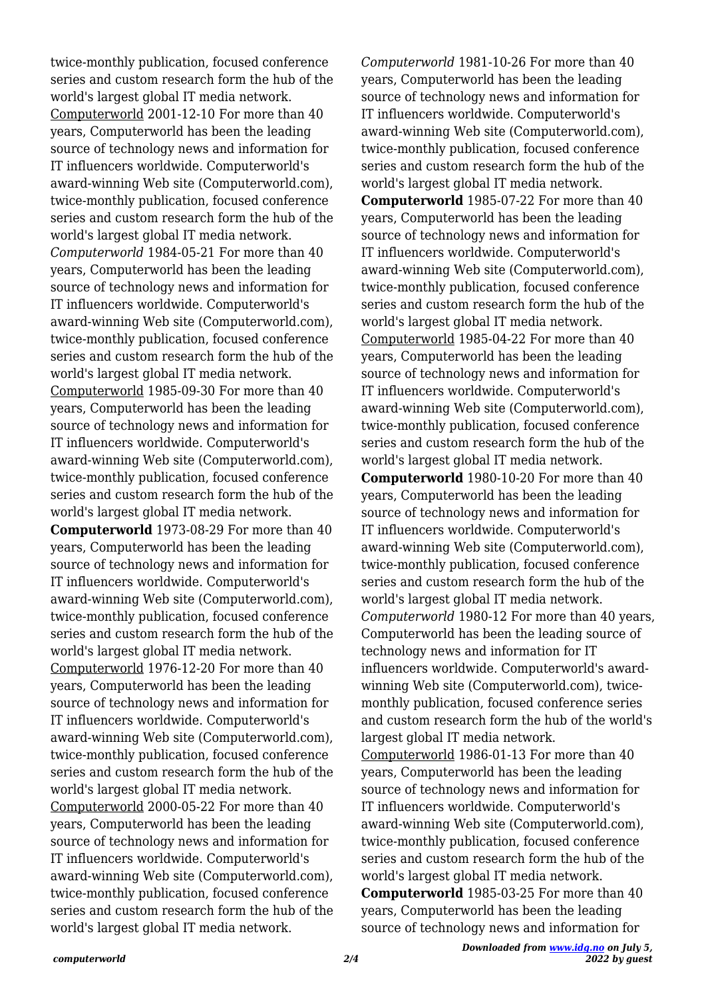twice-monthly publication, focused conference series and custom research form the hub of the world's largest global IT media network. Computerworld 2001-12-10 For more than 40 years, Computerworld has been the leading source of technology news and information for IT influencers worldwide. Computerworld's award-winning Web site (Computerworld.com), twice-monthly publication, focused conference series and custom research form the hub of the world's largest global IT media network. *Computerworld* 1984-05-21 For more than 40 years, Computerworld has been the leading source of technology news and information for IT influencers worldwide. Computerworld's award-winning Web site (Computerworld.com), twice-monthly publication, focused conference series and custom research form the hub of the world's largest global IT media network. Computerworld 1985-09-30 For more than 40 years, Computerworld has been the leading source of technology news and information for IT influencers worldwide. Computerworld's award-winning Web site (Computerworld.com), twice-monthly publication, focused conference series and custom research form the hub of the world's largest global IT media network. **Computerworld** 1973-08-29 For more than 40 years, Computerworld has been the leading source of technology news and information for IT influencers worldwide. Computerworld's award-winning Web site (Computerworld.com), twice-monthly publication, focused conference series and custom research form the hub of the world's largest global IT media network. Computerworld 1976-12-20 For more than 40 years, Computerworld has been the leading source of technology news and information for IT influencers worldwide. Computerworld's award-winning Web site (Computerworld.com), twice-monthly publication, focused conference series and custom research form the hub of the world's largest global IT media network. Computerworld 2000-05-22 For more than 40 years, Computerworld has been the leading source of technology news and information for IT influencers worldwide. Computerworld's award-winning Web site (Computerworld.com), twice-monthly publication, focused conference series and custom research form the hub of the world's largest global IT media network.

*Computerworld* 1981-10-26 For more than 40 years, Computerworld has been the leading source of technology news and information for IT influencers worldwide. Computerworld's award-winning Web site (Computerworld.com), twice-monthly publication, focused conference series and custom research form the hub of the world's largest global IT media network. **Computerworld** 1985-07-22 For more than 40 years, Computerworld has been the leading source of technology news and information for IT influencers worldwide. Computerworld's award-winning Web site (Computerworld.com), twice-monthly publication, focused conference series and custom research form the hub of the world's largest global IT media network. Computerworld 1985-04-22 For more than 40 years, Computerworld has been the leading source of technology news and information for IT influencers worldwide. Computerworld's award-winning Web site (Computerworld.com), twice-monthly publication, focused conference series and custom research form the hub of the world's largest global IT media network. **Computerworld** 1980-10-20 For more than 40 years, Computerworld has been the leading source of technology news and information for IT influencers worldwide. Computerworld's award-winning Web site (Computerworld.com), twice-monthly publication, focused conference series and custom research form the hub of the world's largest global IT media network. *Computerworld* 1980-12 For more than 40 years, Computerworld has been the leading source of technology news and information for IT influencers worldwide. Computerworld's awardwinning Web site (Computerworld.com), twicemonthly publication, focused conference series and custom research form the hub of the world's largest global IT media network. Computerworld 1986-01-13 For more than 40 years, Computerworld has been the leading source of technology news and information for IT influencers worldwide. Computerworld's award-winning Web site (Computerworld.com), twice-monthly publication, focused conference series and custom research form the hub of the world's largest global IT media network. **Computerworld** 1985-03-25 For more than 40 years, Computerworld has been the leading source of technology news and information for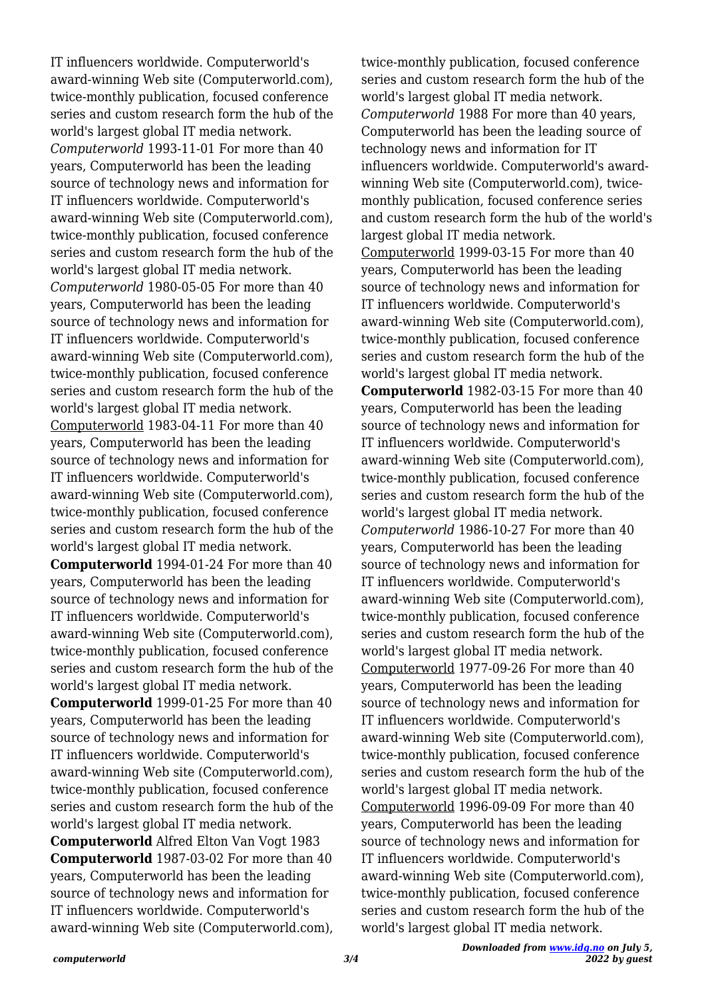IT influencers worldwide. Computerworld's award-winning Web site (Computerworld.com), twice-monthly publication, focused conference series and custom research form the hub of the world's largest global IT media network. *Computerworld* 1993-11-01 For more than 40 years, Computerworld has been the leading source of technology news and information for IT influencers worldwide. Computerworld's award-winning Web site (Computerworld.com), twice-monthly publication, focused conference series and custom research form the hub of the world's largest global IT media network. *Computerworld* 1980-05-05 For more than 40 years, Computerworld has been the leading source of technology news and information for IT influencers worldwide. Computerworld's award-winning Web site (Computerworld.com), twice-monthly publication, focused conference series and custom research form the hub of the world's largest global IT media network. Computerworld 1983-04-11 For more than 40 years, Computerworld has been the leading source of technology news and information for IT influencers worldwide. Computerworld's award-winning Web site (Computerworld.com), twice-monthly publication, focused conference series and custom research form the hub of the world's largest global IT media network. **Computerworld** 1994-01-24 For more than 40

years, Computerworld has been the leading source of technology news and information for IT influencers worldwide. Computerworld's award-winning Web site (Computerworld.com), twice-monthly publication, focused conference series and custom research form the hub of the world's largest global IT media network. **Computerworld** 1999-01-25 For more than 40 years, Computerworld has been the leading source of technology news and information for IT influencers worldwide. Computerworld's award-winning Web site (Computerworld.com),

twice-monthly publication, focused conference series and custom research form the hub of the world's largest global IT media network. **Computerworld** Alfred Elton Van Vogt 1983 **Computerworld** 1987-03-02 For more than 40 years, Computerworld has been the leading source of technology news and information for IT influencers worldwide. Computerworld's award-winning Web site (Computerworld.com), twice-monthly publication, focused conference series and custom research form the hub of the world's largest global IT media network. *Computerworld* 1988 For more than 40 years, Computerworld has been the leading source of technology news and information for IT influencers worldwide. Computerworld's awardwinning Web site (Computerworld.com), twicemonthly publication, focused conference series and custom research form the hub of the world's largest global IT media network. Computerworld 1999-03-15 For more than 40 years, Computerworld has been the leading source of technology news and information for IT influencers worldwide. Computerworld's award-winning Web site (Computerworld.com), twice-monthly publication, focused conference series and custom research form the hub of the world's largest global IT media network. **Computerworld** 1982-03-15 For more than 40 years, Computerworld has been the leading source of technology news and information for IT influencers worldwide. Computerworld's award-winning Web site (Computerworld.com), twice-monthly publication, focused conference series and custom research form the hub of the world's largest global IT media network. *Computerworld* 1986-10-27 For more than 40 years, Computerworld has been the leading source of technology news and information for IT influencers worldwide. Computerworld's award-winning Web site (Computerworld.com), twice-monthly publication, focused conference series and custom research form the hub of the world's largest global IT media network. Computerworld 1977-09-26 For more than 40 years, Computerworld has been the leading source of technology news and information for IT influencers worldwide. Computerworld's award-winning Web site (Computerworld.com), twice-monthly publication, focused conference series and custom research form the hub of the world's largest global IT media network. Computerworld 1996-09-09 For more than 40 years, Computerworld has been the leading source of technology news and information for IT influencers worldwide. Computerworld's award-winning Web site (Computerworld.com), twice-monthly publication, focused conference series and custom research form the hub of the world's largest global IT media network.